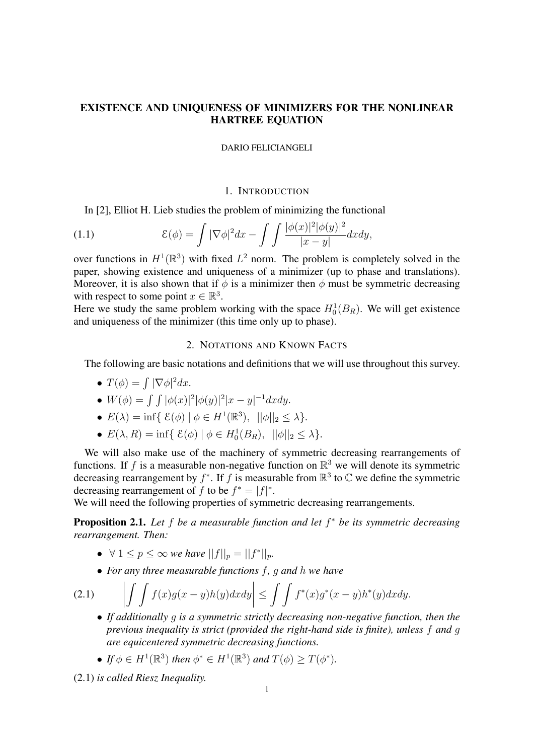# EXISTENCE AND UNIQUENESS OF MINIMIZERS FOR THE NONLINEAR HARTREE EQUATION

#### DARIO FELICIANGELI

## 1. INTRODUCTION

In [2], Elliot H. Lieb studies the problem of minimizing the functional

(1.1) 
$$
\mathcal{E}(\phi) = \int |\nabla \phi|^2 dx - \int \int \frac{|\phi(x)|^2 |\phi(y)|^2}{|x - y|} dx dy,
$$

over functions in  $H^1(\mathbb{R}^3)$  with fixed  $L^2$  norm. The problem is completely solved in the paper, showing existence and uniqueness of a minimizer (up to phase and translations). Moreover, it is also shown that if  $\phi$  is a minimizer then  $\phi$  must be symmetric decreasing with respect to some point  $x \in \mathbb{R}^3$ .

Here we study the same problem working with the space  $H_0^1(B_R)$ . We will get existence and uniqueness of the minimizer (this time only up to phase).

## 2. NOTATIONS AND KNOWN FACTS

The following are basic notations and definitions that we will use throughout this survey.

- $T(\phi) = \int |\nabla \phi|^2 dx$ .
- $W(\phi) = \int \int |\phi(x)|^2 |\phi(y)|^2 |x y|^{-1} dx dy.$
- $E(\lambda) = \inf \{ \mathcal{E}(\phi) \mid \phi \in H^1(\mathbb{R}^3), \|\phi\|_2 \le \lambda \}.$
- $E(\lambda, R) = \inf \{ \mathcal{E}(\phi) \mid \phi \in H_0^1(B_R), \ ||\phi||_2 \le \lambda \}.$

We will also make use of the machinery of symmetric decreasing rearrangements of functions. If f is a measurable non-negative function on  $\mathbb{R}^3$  we will denote its symmetric decreasing rearrangement by  $f^*$ . If f is measurable from  $\mathbb{R}^3$  to  $\mathbb{C}$  we define the symmetric decreasing rearrangement of f to be  $f^* = |f|^*$ .

We will need the following properties of symmetric decreasing rearrangements.

Proposition 2.1. *Let* f *be a measurable function and let* f <sup>∗</sup> *be its symmetric decreasing rearrangement. Then:*

- $\forall 1 \leq p \leq \infty$  *we have*  $||f||_p = ||f^*||_p$ *.*
- *For any three measurable functions* f*,* g *and* h *we have*

(2.1)

- $\int\int f(x)g(x-y)h(y)dxdy\bigg|$  $\leq \int \int f^*(x)g^*(x-y)h^*(y)dxdy.$ • *If additionally* g *is a symmetric strictly decreasing non-negative function, then the*
- *previous inequality is strict (provided the right-hand side is finite), unless* f *and* g *are equicentered symmetric decreasing functions.*
- If  $\phi \in H^1(\mathbb{R}^3)$  then  $\phi^* \in H^1(\mathbb{R}^3)$  and  $T(\phi) \geq T(\phi^*)$ .

(2.1) *is called Riesz Inequality.*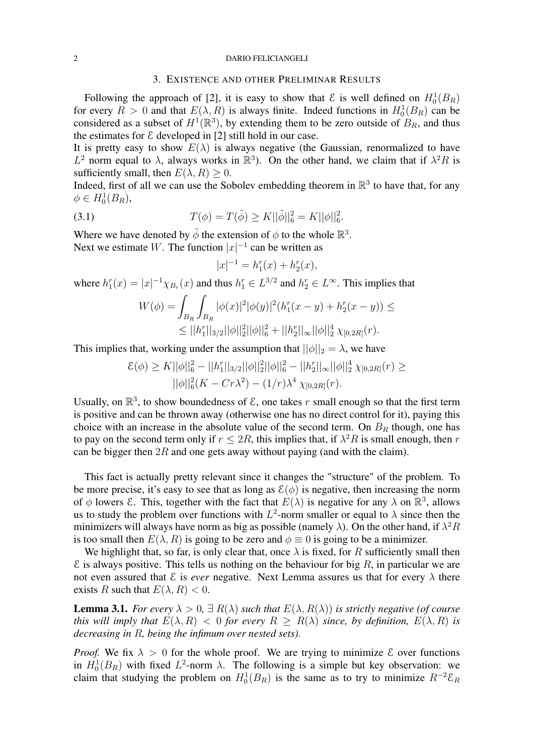#### 2 DARIO FELICIANGELI

### 3. EXISTENCE AND OTHER PRELIMINAR RESULTS

Following the approach of [2], it is easy to show that  $\mathcal{E}$  is well defined on  $H_0^1(B_R)$ for every  $R > 0$  and that  $E(\lambda, R)$  is always finite. Indeed functions in  $H_0^1(B_R)$  can be considered as a subset of  $H^1(\mathbb{R}^3)$ , by extending them to be zero outside of  $B_R$ , and thus the estimates for  $\mathcal E$  developed in [2] still hold in our case.

It is pretty easy to show  $E(\lambda)$  is always negative (the Gaussian, renormalized to have  $L^2$  norm equal to  $\lambda$ , always works in  $\mathbb{R}^3$ ). On the other hand, we claim that if  $\lambda^2 R$  is sufficiently small, then  $E(\lambda, R) > 0$ .

Indeed, first of all we can use the Sobolev embedding theorem in  $\mathbb{R}^3$  to have that, for any  $\phi \in H_0^1(B_R),$ 

(3.1) 
$$
T(\phi) = T(\tilde{\phi}) \ge K ||\tilde{\phi}||_6^2 = K ||\phi||_6^2.
$$

Where we have denoted by  $\tilde{\phi}$  the extension of  $\phi$  to the whole  $\mathbb{R}^3$ . Next we estimate W. The function  $|x|^{-1}$  can be written as

$$
|x|^{-1} = h_1^r(x) + h_2^r(x),
$$

where  $h_1^r(x) = |x|^{-1} \chi_{B_r}(x)$  and thus  $h_1^r \in L^{3/2}$  and  $h_2^r \in L^{\infty}$ . This implies that

$$
W(\phi) = \int_{B_R} \int_{B_R} |\phi(x)|^2 |\phi(y)|^2 (h_1^r(x - y) + h_2^r(x - y)) \le
$$
  
 
$$
\leq ||h_1^r||_{3/2} ||\phi||_2^2 ||\phi||_6^2 + ||h_2^r||_{\infty} ||\phi||_2^4 \chi_{[0,2R]}(r).
$$

This implies that, working under the assumption that  $||\phi||_2 = \lambda$ , we have

$$
\mathcal{E}(\phi) \ge K ||\phi||_6^2 - ||h_1||_{3/2} ||\phi||_2^2 ||\phi||_6^2 - ||h_2||_{\infty} ||\phi||_2^4 \chi_{[0,2R]}(r) \ge
$$
  
 
$$
||\phi||_6^2 (K - Cr\lambda^2) - (1/r)\lambda^4 \chi_{[0,2R]}(r).
$$

Usually, on  $\mathbb{R}^3$ , to show boundedness of  $\mathcal{E}$ , one takes r small enough so that the first term is positive and can be thrown away (otherwise one has no direct control for it), paying this choice with an increase in the absolute value of the second term. On  $B_R$  though, one has to pay on the second term only if  $r \leq 2R$ , this implies that, if  $\lambda^2 R$  is small enough, then r can be bigger then  $2R$  and one gets away without paying (and with the claim).

This fact is actually pretty relevant since it changes the "structure" of the problem. To be more precise, it's easy to see that as long as  $\mathcal{E}(\phi)$  is negative, then increasing the norm of  $\phi$  lowers  $\mathcal{E}$ . This, together with the fact that  $E(\lambda)$  is negative for any  $\lambda$  on  $\mathbb{R}^3$ , allows us to study the problem over functions with  $L^2$ -norm smaller or equal to  $\lambda$  since then the minimizers will always have norm as big as possible (namely  $\lambda$ ). On the other hand, if  $\lambda^2 R$ is too small then  $E(\lambda, R)$  is going to be zero and  $\phi \equiv 0$  is going to be a minimizer.

We highlight that, so far, is only clear that, once  $\lambda$  is fixed, for R sufficiently small then  $\epsilon$  is always positive. This tells us nothing on the behaviour for big R, in particular we are not even assured that  $\mathcal E$  is *ever* negative. Next Lemma assures us that for every  $\lambda$  there exists R such that  $E(\lambda, R) < 0$ .

**Lemma 3.1.** *For every*  $\lambda > 0$ ,  $\exists R(\lambda)$  *such that*  $E(\lambda, R(\lambda))$  *is strictly negative (of course*) *this will imply that*  $E(\lambda, R) < 0$  *for every*  $R \ge R(\lambda)$  *since, by definition,*  $E(\lambda, R)$  *is decreasing in* R*, being the infimum over nested sets).*

*Proof.* We fix  $\lambda > 0$  for the whole proof. We are trying to minimize  $\epsilon$  over functions in  $H_0^1(B_R)$  with fixed  $L^2$ -norm  $\lambda$ . The following is a simple but key observation: we claim that studying the problem on  $H_0^1(B_R)$  is the same as to try to minimize  $R^{-2}\mathcal{E}_R$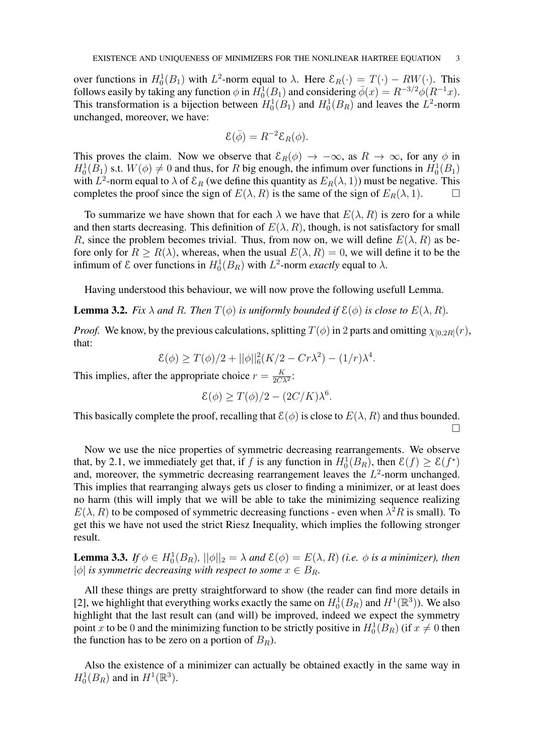over functions in  $H_0^1(B_1)$  with  $L^2$ -norm equal to  $\lambda$ . Here  $\mathcal{E}_R(\cdot) = T(\cdot) - RW(\cdot)$ . This follows easily by taking any function  $\phi$  in  $H_0^1(B_1)$  and considering  $\overline{\phi}(x) = R^{-3/2} \phi(R^{-1}x)$ . This transformation is a bijection between  $H_0^1(B_1)$  and  $H_0^1(B_R)$  and leaves the  $L^2$ -norm unchanged, moreover, we have:

$$
\mathcal{E}(\bar{\phi}) = R^{-2} \mathcal{E}_R(\phi).
$$

This proves the claim. Now we observe that  $\mathcal{E}_R(\phi) \to -\infty$ , as  $R \to \infty$ , for any  $\phi$  in  $H_0^1(B_1)$  s.t.  $W(\phi) \neq 0$  and thus, for R big enough, the infimum over functions in  $H_0^1(B_1)$ with  $L^2$ -norm equal to  $\lambda$  of  $\mathcal{E}_R$  (we define this quantity as  $E_R(\lambda, 1)$ ) must be negative. This completes the proof since the sign of  $E(\lambda, R)$  is the same of the sign of  $E_R(\lambda, 1)$ .

To summarize we have shown that for each  $\lambda$  we have that  $E(\lambda, R)$  is zero for a while and then starts decreasing. This definition of  $E(\lambda, R)$ , though, is not satisfactory for small R, since the problem becomes trivial. Thus, from now on, we will define  $E(\lambda, R)$  as before only for  $R \ge R(\lambda)$ , whereas, when the usual  $E(\lambda, R) = 0$ , we will define it to be the infimum of  $\mathcal{E}$  over functions in  $H_0^1(B_R)$  with  $L^2$ -norm *exactly* equal to  $\lambda$ .

Having understood this behaviour, we will now prove the following usefull Lemma.

**Lemma 3.2.** *Fix*  $\lambda$  *and*  $R$ *. Then*  $T(\phi)$  *is uniformly bounded if*  $\mathcal{E}(\phi)$  *is close to*  $E(\lambda, R)$ *.* 

*Proof.* We know, by the previous calculations, splitting  $T(\phi)$  in 2 parts and omitting  $\chi_{[0,2R]}(r)$ , that:

$$
\mathcal{E}(\phi) \ge T(\phi)/2 + ||\phi||_6^2 (K/2 - Cr\lambda^2) - (1/r)\lambda^4.
$$

This implies, after the appropriate choice  $r = \frac{K}{2C}$  $\frac{K}{2C\lambda^2}$ :

$$
\mathcal{E}(\phi) \ge T(\phi)/2 - (2C/K)\lambda^6.
$$

This basically complete the proof, recalling that  $\mathcal{E}(\phi)$  is close to  $E(\lambda, R)$  and thus bounded.  $\Box$ 

Now we use the nice properties of symmetric decreasing rearrangements. We observe that, by 2.1, we immediately get that, if f is any function in  $H_0^1(B_R)$ , then  $\mathcal{E}(f) \ge \mathcal{E}(f^*)$ and, moreover, the symmetric decreasing rearrangement leaves the  $L^2$ -norm unchanged. This implies that rearranging always gets us closer to finding a minimizer, or at least does no harm (this will imply that we will be able to take the minimizing sequence realizing  $E(\lambda, R)$  to be composed of symmetric decreasing functions - even when  $\lambda^2 R$  is small). To get this we have not used the strict Riesz Inequality, which implies the following stronger result.

**Lemma 3.3.** *If*  $\phi \in H_0^1(B_R)$ ,  $||\phi||_2 = \lambda$  *and*  $\mathcal{E}(\phi) = E(\lambda, R)$  *(i.e.*  $\phi$  *is a minimizer), then*  $|\phi|$  *is symmetric decreasing with respect to some*  $x \in B_R$ .

All these things are pretty straightforward to show (the reader can find more details in [2], we highlight that everything works exactly the same on  $H_0^1(B_R)$  and  $H^1(\mathbb{R}^3)$ ). We also highlight that the last result can (and will) be improved, indeed we expect the symmetry point x to be 0 and the minimizing function to be strictly positive in  $H_0^1(B_R)$  (if  $x \neq 0$  then the function has to be zero on a portion of  $B_R$ ).

Also the existence of a minimizer can actually be obtained exactly in the same way in  $H_0^1(B_R)$  and in  $H^1(\mathbb{R}^3)$ .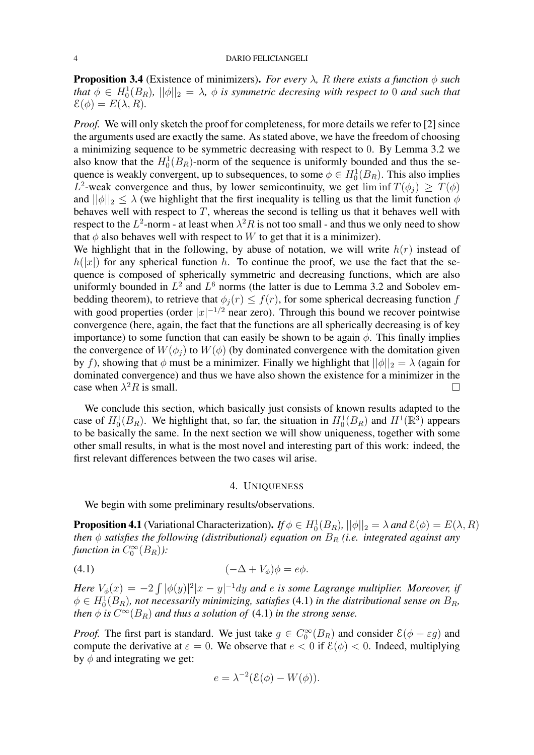**Proposition 3.4** (Existence of minimizers). *For every*  $\lambda$ , R *there exists a function*  $\phi$  *such* that  $\phi \in H_0^1(B_R)$ ,  $||\phi||_2 = \lambda$ ,  $\phi$  is symmetric decresing with respect to 0 and such that  $\mathcal{E}(\phi) = E(\lambda, R)$ .

*Proof.* We will only sketch the proof for completeness, for more details we refer to [2] since the arguments used are exactly the same. As stated above, we have the freedom of choosing a minimizing sequence to be symmetric decreasing with respect to 0. By Lemma 3.2 we also know that the  $H_0^1(B_R)$ -norm of the sequence is uniformly bounded and thus the sequence is weakly convergent, up to subsequences, to some  $\phi \in H_0^1(B_R)$ . This also implies L<sup>2</sup>-weak convergence and thus, by lower semicontinuity, we get  $\liminf T(\phi_j) \geq T(\phi)$ and  $||\phi||_2 \leq \lambda$  (we highlight that the first inequality is telling us that the limit function  $\phi$ behaves well with respect to  $T$ , whereas the second is telling us that it behaves well with respect to the  $L^2$ -norm - at least when  $\lambda^2 R$  is not too small - and thus we only need to show that  $\phi$  also behaves well with respect to W to get that it is a minimizer).

We highlight that in the following, by abuse of notation, we will write  $h(r)$  instead of  $h(|x|)$  for any spherical function h. To continue the proof, we use the fact that the sequence is composed of spherically symmetric and decreasing functions, which are also uniformly bounded in  $L^2$  and  $L^6$  norms (the latter is due to Lemma 3.2 and Sobolev embedding theorem), to retrieve that  $\phi_i(r) \leq f(r)$ , for some spherical decreasing function f with good properties (order  $|x|^{-1/2}$  near zero). Through this bound we recover pointwise convergence (here, again, the fact that the functions are all spherically decreasing is of key importance) to some function that can easily be shown to be again  $\phi$ . This finally implies the convergence of  $W(\phi_i)$  to  $W(\phi)$  (by dominated convergence with the domitation given by f), showing that  $\phi$  must be a minimizer. Finally we highlight that  $||\phi||_2 = \lambda$  (again for dominated convergence) and thus we have also shown the existence for a minimizer in the case when  $\lambda^2 R$  is small.

We conclude this section, which basically just consists of known results adapted to the case of  $H_0^1(B_R)$ . We highlight that, so far, the situation in  $H_0^1(B_R)$  and  $H^1(\mathbb{R}^3)$  appears to be basically the same. In the next section we will show uniqueness, together with some other small results, in what is the most novel and interesting part of this work: indeed, the first relevant differences between the two cases wil arise.

### 4. UNIQUENESS

We begin with some preliminary results/observations.

**Proposition 4.1** (Variational Characterization). *If*  $\phi \in H_0^1(B_R)$ ,  $||\phi||_2 = \lambda$  and  $\mathcal{E}(\phi) = E(\lambda, R)$ *then*  $\phi$  *satisfies the following (distributional) equation on*  $B_R$  *(i.e. integrated against any* function in  $C_0^{\infty}(B_R)$ ):

$$
(-\Delta + V_{\phi})\phi = e\phi.
$$

Here  $V_{\phi}(x) = -2 \int |\phi(y)|^2 |x-y|^{-1} dy$  and e is some Lagrange multiplier. Moreover, if  $\phi \in H_0^1(B_R)$ , not necessarily minimizing, satisfies (4.1) in the distributional sense on  $B_R$ , *then*  $\phi$  *is*  $C^{\infty}(B_R)$  *and thus a solution of* (4.1) *in the strong sense.* 

*Proof.* The first part is standard. We just take  $g \in C_0^{\infty}(B_R)$  and consider  $\mathcal{E}(\phi + \varepsilon g)$  and compute the derivative at  $\varepsilon = 0$ . We observe that  $e < 0$  if  $\mathcal{E}(\phi) < 0$ . Indeed, multiplying by  $\phi$  and integrating we get:

$$
e = \lambda^{-2} (\mathcal{E}(\phi) - W(\phi)).
$$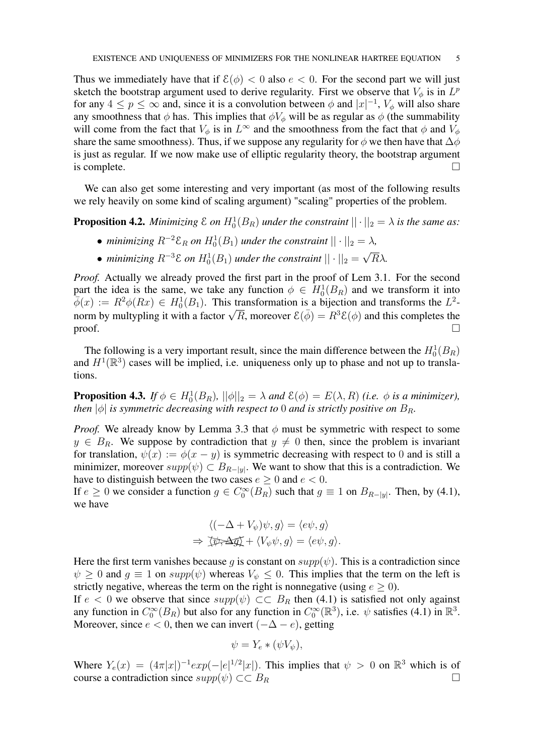Thus we immediately have that if  $\mathcal{E}(\phi) < 0$  also  $e < 0$ . For the second part we will just sketch the bootstrap argument used to derive regularity. First we observe that  $V_{\phi}$  is in  $L^{p}$ for any  $4 \le p \le \infty$  and, since it is a convolution between  $\phi$  and  $|x|^{-1}$ ,  $V_{\phi}$  will also share any smoothness that  $\phi$  has. This implies that  $\phi V_{\phi}$  will be as regular as  $\phi$  (the summability will come from the fact that  $V_{\phi}$  is in  $L^{\infty}$  and the smoothness from the fact that  $\phi$  and  $V_{\phi}$ share the same smoothness). Thus, if we suppose any regularity for  $\phi$  we then have that  $\Delta\phi$ is just as regular. If we now make use of elliptic regularity theory, the bootstrap argument is complete.  $\Box$ 

We can also get some interesting and very important (as most of the following results we rely heavily on some kind of scaling argument) "scaling" properties of the problem.

**Proposition 4.2.** Minimizing  $\mathcal{E}$  on  $H_0^1(B_R)$  under the constraint  $||\cdot||_2 = \lambda$  is the same as:

- *minimizing*  $R^{-2} \mathcal{E}_R$  *on*  $H_0^1(B_1)$  *under the constraint*  $|| \cdot ||_2 = \lambda$ *,*
- *minimizing*  $R^{-3}$  $\varepsilon$  *on*  $H_0^1(B_1)$  *under the constraint*  $||\cdot||_2 =$ √ Rλ*.*

*Proof.* Actually we already proved the first part in the proof of Lem 3.1. For the second part the idea is the same, we take any function  $\phi \in H_0^1(B_R)$  and we transform it into  $\overline{\phi}(x) := R^2 \phi(Rx) \in H_0^1(B_1)$ . This transformation is a bijection and transforms the  $L^2$ - $\varphi(x) := R^2 \varphi(Rx) \in H_0^2(B_1)$ . This transformation is a bijection and transforms the  $L^2$ -<br>norm by multypling it with a factor  $\sqrt{R}$ , moreover  $\mathcal{E}(\bar{\phi}) = R^3 \mathcal{E}(\phi)$  and this completes the proof.  $\Box$ 

The following is a very important result, since the main difference between the  $H_0^1(B_R)$ and  $H^1(\mathbb{R}^3)$  cases will be implied, i.e. uniqueness only up to phase and not up to translations.

**Proposition 4.3.** *If*  $\phi \in H_0^1(B_R)$ ,  $||\phi||_2 = \lambda$  *and*  $\mathcal{E}(\phi) = E(\lambda, R)$  *(i.e.*  $\phi$  *is a minimizer)*, *then*  $|\phi|$  *is symmetric decreasing with respect to* 0 *and is strictly positive on*  $B_R$ .

*Proof.* We already know by Lemma 3.3 that  $\phi$  must be symmetric with respect to some  $y \in B_R$ . We suppose by contradiction that  $y \neq 0$  then, since the problem is invariant for translation,  $\psi(x) := \phi(x - y)$  is symmetric decreasing with respect to 0 and is still a minimizer, moreover  $supp(\psi) \subset B_{R-|y|}$ . We want to show that this is a contradiction. We have to distinguish between the two cases  $e \ge 0$  and  $e < 0$ .

If  $e \ge 0$  we consider a function  $g \in C_0^{\infty}(B_R)$  such that  $g \equiv 1$  on  $B_{R-|y|}$ . Then, by (4.1), we have

$$
\langle (-\Delta + V_{\psi})\psi, g \rangle = \langle e\psi, g \rangle
$$
  
\n
$$
\Rightarrow \overline{\langle \psi, \Delta g \rangle} + \langle V_{\psi}\psi, g \rangle = \langle e\psi, g \rangle.
$$

Here the first term vanishes because g is constant on  $supp(\psi)$ . This is a contradiction since  $\psi \geq 0$  and  $g \equiv 1$  on  $supp(\psi)$  whereas  $V_{\psi} \leq 0$ . This implies that the term on the left is strictly negative, whereas the term on the right is nonnegative (using  $e \ge 0$ ).

If  $e < 0$  we observe that since  $supp(\psi) \subset B_R$  then (4.1) is satisfied not only against any function in  $C_0^{\infty}(B_R)$  but also for any function in  $C_0^{\infty}(\mathbb{R}^3)$ , i.e.  $\psi$  satisfies (4.1) in  $\mathbb{R}^3$ . Moreover, since  $e < 0$ , then we can invert  $(-\Delta - e)$ , getting

$$
\psi = Y_e * (\psi V_{\psi}),
$$

Where  $Y_e(x) = (4\pi|x|)^{-1} exp(-|e|^{1/2}|x|)$ . This implies that  $\psi > 0$  on  $\mathbb{R}^3$  which is of course a contradiction since  $supp(\psi) \subset \subset B_R$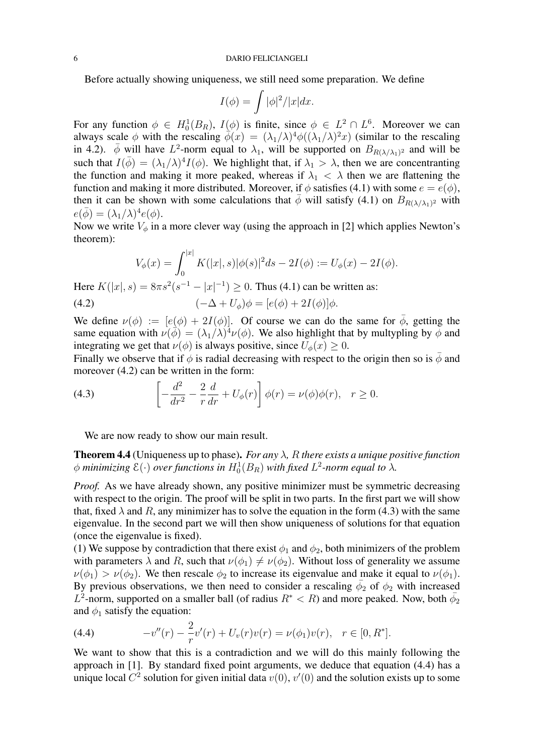#### 6 DARIO FELICIANGELI

Before actually showing uniqueness, we still need some preparation. We define

$$
I(\phi) = \int |\phi|^2 / |x| dx.
$$

For any function  $\phi \in H_0^1(B_R)$ ,  $I(\phi)$  is finite, since  $\phi \in L^2 \cap L^6$ . Moreover we can always scale  $\phi$  with the rescaling  $\phi(x) = (\lambda_1/\lambda)^4 \phi((\lambda_1/\lambda)^2 x)$  (similar to the rescaling in 4.2).  $\bar{\phi}$  will have  $L^2$ -norm equal to  $\lambda_1$ , will be supported on  $B_{R(\lambda/\lambda_1)^2}$  and will be such that  $I(\bar{\phi}) = (\lambda_1/\lambda)^4 I(\phi)$ . We highlight that, if  $\lambda_1 > \lambda$ , then we are concentranting the function and making it more peaked, whereas if  $\lambda_1 < \lambda$  then we are flattening the function and making it more distributed. Moreover, if  $\phi$  satisfies (4.1) with some  $e = e(\phi)$ , then it can be shown with some calculations that  $\bar{\phi}$  will satisfy (4.1) on  $B_{R(\lambda/\lambda_1)^2}$  with  $e(\bar{\phi}) = (\lambda_1/\lambda)^4 e(\phi).$ 

Now we write  $V_{\phi}$  in a more clever way (using the approach in [2] which applies Newton's theorem):

$$
V_{\phi}(x) = \int_0^{|x|} K(|x|, s) |\phi(s)|^2 ds - 2I(\phi) := U_{\phi}(x) - 2I(\phi).
$$

Here  $K(|x|, s) = 8\pi s^2 (s^{-1} - |x|^{-1}) \ge 0$ . Thus (4.1) can be written as:

(4.2) 
$$
(-\Delta + U_{\phi})\phi = [e(\phi) + 2I(\phi)]\phi.
$$

We define  $\nu(\phi) := [e(\phi) + 2I(\phi)]$ . Of course we can do the same for  $\overline{\phi}$ , getting the same equation with  $\nu(\vec{\phi}) = (\lambda_1/\lambda)^4 \nu(\phi)$ . We also highlight that by multypling by  $\phi$  and integrating we get that  $\nu(\phi)$  is always positive, since  $U_{\phi}(x) \geq 0$ .

Finally we observe that if  $\phi$  is radial decreasing with respect to the origin then so is  $\bar{\phi}$  and moreover  $(4.2)$  can be written in the form:

(4.3) 
$$
\left[ -\frac{d^2}{dr^2} - \frac{2}{r}\frac{d}{dr} + U_{\phi}(r) \right] \phi(r) = \nu(\phi)\phi(r), \quad r \ge 0.
$$

We are now ready to show our main result.

Theorem 4.4 (Uniqueness up to phase). *For any* λ*,* R *there exists a unique positive function*  $\phi$  minimizing  $\mathcal{E}(\cdot)$  over functions in  $H^1_0(B_R)$  with fixed  $L^2$ -norm equal to  $\lambda$ .

*Proof.* As we have already shown, any positive minimizer must be symmetric decreasing with respect to the origin. The proof will be split in two parts. In the first part we will show that, fixed  $\lambda$  and R, any minimizer has to solve the equation in the form (4.3) with the same eigenvalue. In the second part we will then show uniqueness of solutions for that equation (once the eigenvalue is fixed).

(1) We suppose by contradiction that there exist  $\phi_1$  and  $\phi_2$ , both minimizers of the problem with parameters  $\lambda$  and R, such that  $\nu(\phi_1) \neq \nu(\phi_2)$ . Without loss of generality we assume  $\nu(\phi_1) > \nu(\phi_2)$ . We then rescale  $\phi_2$  to increase its eigenvalue and make it equal to  $\nu(\phi_1)$ . By previous observations, we then need to consider a rescaling  $\bar{\phi}_2$  of  $\phi_2$  with increased  $L^2$ -norm, supported on a smaller ball (of radius  $R^* < R$ ) and more peaked. Now, both  $\bar{\phi}_2$ and  $\phi_1$  satisfy the equation:

(4.4) 
$$
-v''(r) - \frac{2}{r}v'(r) + U_v(r)v(r) = \nu(\phi_1)v(r), \quad r \in [0, R^*].
$$

We want to show that this is a contradiction and we will do this mainly following the approach in [1]. By standard fixed point arguments, we deduce that equation (4.4) has a unique local  $C^2$  solution for given initial data  $v(0)$ ,  $v'(0)$  and the solution exists up to some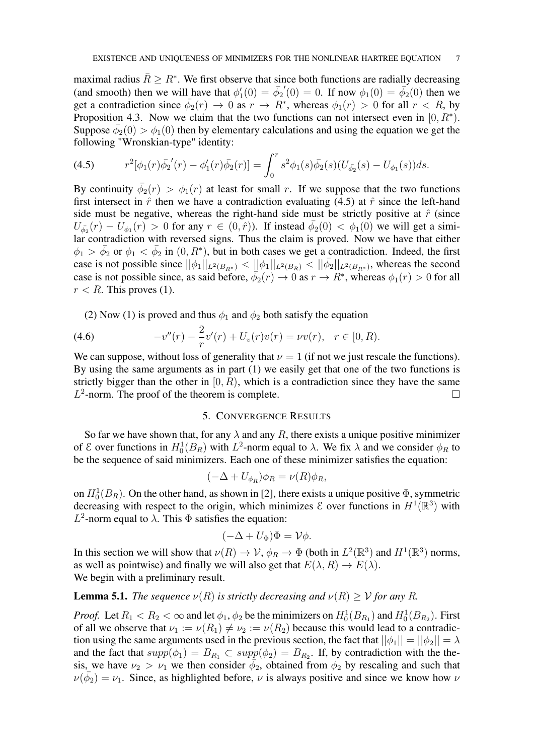maximal radius  $\bar{R} \geq R^*$ . We first observe that since both functions are radially decreasing (and smooth) then we will have that  $\phi'_1(0) = \bar{\phi}_2$  $(0) = 0$ . If now  $\phi_1(0) = \bar{\phi_2}(0)$  then we get a contradiction since  $\bar{\phi}_2(r) \to 0$  as  $r \to R^*$ , whereas  $\phi_1(r) > 0$  for all  $r < R$ , by Proposition 4.3. Now we claim that the two functions can not intersect even in  $[0, R^*).$ Suppose  $\bar{\phi}_2(0) > \phi_1(0)$  then by elementary calculations and using the equation we get the following "Wronskian-type" identity:

(4.5) 
$$
r^{2}[\phi_{1}(r)\bar{\phi_{2}}'(r) - \phi_{1}'(r)\bar{\phi_{2}}(r)] = \int_{0}^{r} s^{2}\phi_{1}(s)\bar{\phi_{2}}(s)(U_{\bar{\phi_{2}}}(s) - U_{\phi_{1}}(s))ds.
$$

By continuity  $\bar{\phi}_2(r) > \phi_1(r)$  at least for small r. If we suppose that the two functions first intersect in  $\hat{r}$  then we have a contradiction evaluating (4.5) at  $\hat{r}$  since the left-hand side must be negative, whereas the right-hand side must be strictly positive at  $\hat{r}$  (since  $U_{\bar{\phi_2}}(r) - U_{\phi_1}(r) > 0$  for any  $r \in (0, \hat{r})$ ). If instead  $\bar{\phi_2}(0) < \phi_1(0)$  we will get a simi-Lar contradiction with reversed signs. Thus the claim is proved. Now we have that either  $\phi_1 > \bar{\phi}_2$  or  $\phi_1 < \bar{\phi}_2$  in  $(0, R^*)$ , but in both cases we get a contradiction. Indeed, the first case is not possible since  $||\phi_1||_{L^2(B_{R^*})} < ||\phi_1||_{L^2(B_R)} < ||\bar{\phi_2}||_{L^2(B_{R^*})}$ , whereas the second case is not possible since, as said before,  $\phi_2(r) \to 0$  as  $r \to R^*$ , whereas  $\phi_1(r) > 0$  for all  $r < R$ . This proves (1).

(2) Now (1) is proved and thus  $\phi_1$  and  $\phi_2$  both satisfy the equation

(4.6) 
$$
-v''(r) - \frac{2}{r}v'(r) + U_v(r)v(r) = \nu v(r), \quad r \in [0, R).
$$

We can suppose, without loss of generality that  $\nu = 1$  (if not we just rescale the functions). By using the same arguments as in part (1) we easily get that one of the two functions is strictly bigger than the other in  $[0, R)$ , which is a contradiction since they have the same  $L^2$ -norm. The proof of the theorem is complete.

### 5. CONVERGENCE RESULTS

So far we have shown that, for any  $\lambda$  and any R, there exists a unique positive minimizer of  $\mathcal E$  over functions in  $H_0^1(B_R)$  with  $L^2$ -norm equal to  $\lambda$ . We fix  $\lambda$  and we consider  $\phi_R$  to be the sequence of said minimizers. Each one of these minimizer satisfies the equation:

$$
(-\Delta + U_{\phi_R})\phi_R = \nu(R)\phi_R,
$$

on  $H_0^1(B_R)$ . On the other hand, as shown in [2], there exists a unique positive  $\Phi$ , symmetric decreasing with respect to the origin, which minimizes  $\mathcal E$  over functions in  $H^1(\mathbb R^3)$  with  $L^2$ -norm equal to  $\lambda$ . This  $\Phi$  satisfies the equation:

$$
(-\Delta + U_{\Phi})\Phi = \mathcal{V}\phi.
$$

In this section we will show that  $\nu(R) \to V$ ,  $\phi_R \to \Phi$  (both in  $L^2(\mathbb{R}^3)$  and  $H^1(\mathbb{R}^3)$  norms, as well as pointwise) and finally we will also get that  $E(\lambda, R) \to E(\lambda)$ . We begin with a preliminary result.

## **Lemma 5.1.** *The sequence*  $\nu(R)$  *is strictly decreasing and*  $\nu(R) \geq \nu$  *for any R.*

*Proof.* Let  $R_1 < R_2 < \infty$  and let  $\phi_1$ ,  $\phi_2$  be the minimizers on  $H_0^1(B_{R_1})$  and  $H_0^1(B_{R_2})$ . First of all we observe that  $\nu_1 := \nu(R_1) \neq \nu_2 := \nu(R_2)$  because this would lead to a contradiction using the same arguments used in the previous section, the fact that  $||\phi_1|| = ||\phi_2|| = \lambda$ and the fact that  $supp(\phi_1) = B_{R_1} \subset supp(\phi_2) = B_{R_2}$ . If, by contradiction with the thesis, we have  $\nu_2 > \nu_1$  we then consider  $\phi_2$ , obtained from  $\phi_2$  by rescaling and such that  $\nu(\bar{\phi}_2) = \nu_1$ . Since, as highlighted before,  $\nu$  is always positive and since we know how  $\nu$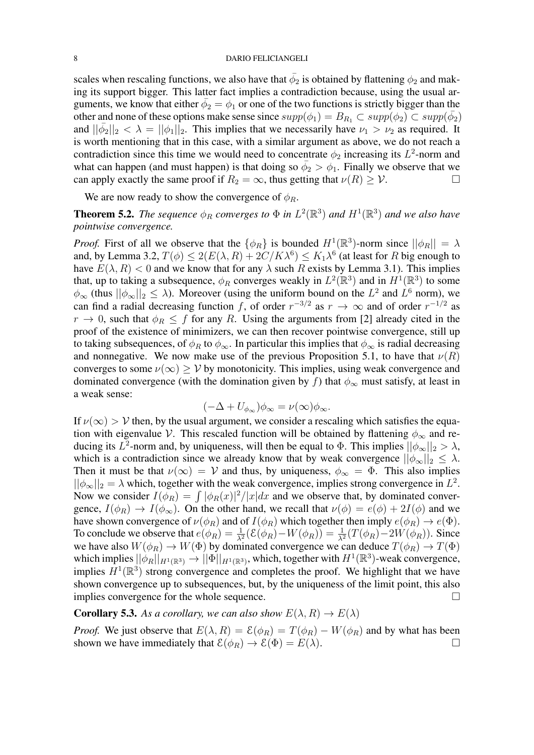#### 8 DARIO FELICIANGELI

scales when rescaling functions, we also have that  $\bar{\phi_2}$  is obtained by flattening  $\phi_2$  and making its support bigger. This latter fact implies a contradiction because, using the usual arguments, we know that either  $\bar{\phi}_2 = \phi_1$  or one of the two functions is strictly bigger than the other and none of these options make sense since  $supp(\phi_1) = B_{R_1} \subset supp(\phi_2) \subset supp(\bar{\phi_2})$ and  $||\bar{\phi_2}||_2 < \lambda = ||\phi_1||_2$ . This implies that we necessarily have  $\nu_1 > \nu_2$  as required. It is worth mentioning that in this case, with a similar argument as above, we do not reach a contradiction since this time we would need to concentrate  $\phi_2$  increasing its  $L^2$ -norm and what can happen (and must happen) is that doing so  $\bar{\phi}_2 > \phi_1$ . Finally we observe that we can apply exactly the same proof if  $R_2 = \infty$ , thus getting that  $\nu(R) \geq \mathcal{V}$ .

We are now ready to show the convergence of  $\phi_R$ .

**Theorem 5.2.** The sequence  $\phi_R$  converges to  $\Phi$  in  $L^2(\mathbb{R}^3)$  and  $H^1(\mathbb{R}^3)$  and we also have *pointwise convergence.*

*Proof.* First of all we observe that the  $\{\phi_R\}$  is bounded  $H^1(\mathbb{R}^3)$ -norm since  $||\phi_R|| = \lambda$ and, by Lemma 3.2,  $T(\phi) \le 2(E(\lambda, R) + 2C/K\lambda^6) \le K_1\lambda^6$  (at least for R big enough to have  $E(\lambda, R) < 0$  and we know that for any  $\lambda$  such R exists by Lemma 3.1). This implies that, up to taking a subsequence,  $\phi_R$  converges weakly in  $L^2(\mathbb{R}^3)$  and in  $H^1(\mathbb{R}^3)$  to some  $\phi_{\infty}$  (thus  $||\phi_{\infty}||_2 \leq \lambda$ ). Moreover (using the uniform bound on the  $L^2$  and  $L^6$  norm), we can find a radial decreasing function f, of order  $r^{-3/2}$  as  $r \to \infty$  and of order  $r^{-1/2}$  as  $r \to 0$ , such that  $\phi_R \leq f$  for any R. Using the arguments from [2] already cited in the proof of the existence of minimizers, we can then recover pointwise convergence, still up to taking subsequences, of  $\phi_R$  to  $\phi_\infty$ . In particular this implies that  $\phi_\infty$  is radial decreasing and nonnegative. We now make use of the previous Proposition 5.1, to have that  $\nu(R)$ converges to some  $\nu(\infty) > \mathcal{V}$  by monotonicity. This implies, using weak convergence and dominated convergence (with the domination given by f) that  $\phi_{\infty}$  must satisfy, at least in a weak sense:

$$
(-\Delta + U_{\phi_{\infty}})\phi_{\infty} = \nu(\infty)\phi_{\infty}.
$$

If  $\nu(\infty) > \mathcal{V}$  then, by the usual argument, we consider a rescaling which satisfies the equation with eigenvalue V. This rescaled function will be obtained by flattening  $\phi_{\infty}$  and reducing its  $L^2$ -norm and, by uniqueness, will then be equal to  $\Phi$ . This implies  $||\phi_{\infty}||_2 > \lambda$ , which is a contradiction since we already know that by weak convergence  $||\phi_{\infty}||_2 \leq \lambda$ . Then it must be that  $\nu(\infty) = V$  and thus, by uniqueness,  $\phi_{\infty} = \Phi$ . This also implies  $||\phi_{\infty}||_2 = \lambda$  which, together with the weak convergence, implies strong convergence in  $L^2$ . Now we consider  $I(\phi_R) = \int |\phi_R(x)|^2 / |x| dx$  and we observe that, by dominated convergence,  $I(\phi_R) \to I(\phi_\infty)$ . On the other hand, we recall that  $\nu(\phi) = e(\phi) + 2I(\phi)$  and we have shown convergence of  $\nu(\phi_R)$  and of  $I(\phi_R)$  which together then imply  $e(\phi_R) \to e(\Phi)$ . To conclude we observe that  $e(\phi_R) = \frac{1}{\lambda^2} (\mathcal{E}(\phi_R) - W(\phi_R)) = \frac{1}{\lambda^2} (T(\phi_R) - 2W(\phi_R))$ . Since we have also  $W(\phi_R) \to W(\Phi)$  by dominated convergence we can deduce  $T(\phi_R) \to T(\Phi)$ which implies  $||\phi_R||_{H^1(\mathbb{R}^3)} \to ||\Phi||_{H^1(\mathbb{R}^3)}$ , which, together with  $H^1(\mathbb{R}^3)$ -weak convergence, implies  $H^1(\mathbb{R}^3)$  strong convergence and completes the proof. We highlight that we have shown convergence up to subsequences, but, by the uniqueness of the limit point, this also implies convergence for the whole sequence.

## **Corollary 5.3.** As a corollary, we can also show  $E(\lambda, R) \to E(\lambda)$

*Proof.* We just observe that  $E(\lambda, R) = \mathcal{E}(\phi_R) = T(\phi_R) - W(\phi_R)$  and by what has been shown we have immediately that  $\mathcal{E}(\phi_R) \to \mathcal{E}(\Phi) = E(\lambda)$ .